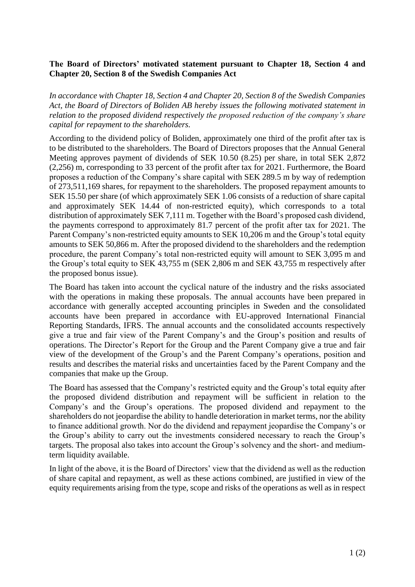## **The Board of Directors' motivated statement pursuant to Chapter 18, Section 4 and Chapter 20, Section 8 of the Swedish Companies Act**

*In accordance with Chapter 18, Section 4 and Chapter 20, Section 8 of the Swedish Companies Act, the Board of Directors of Boliden AB hereby issues the following motivated statement in relation to the proposed dividend respectively the proposed reduction of the company's share capital for repayment to the shareholders.*

According to the dividend policy of Boliden, approximately one third of the profit after tax is to be distributed to the shareholders. The Board of Directors proposes that the Annual General Meeting approves payment of dividends of SEK 10.50 (8.25) per share, in total SEK 2,872 (2,256) m, corresponding to 33 percent of the profit after tax for 2021. Furthermore, the Board proposes a reduction of the Company's share capital with SEK 289.5 m by way of redemption of 273,511,169 shares, for repayment to the shareholders. The proposed repayment amounts to SEK 15.50 per share (of which approximately SEK 1.06 consists of a reduction of share capital and approximately SEK 14.44 of non-restricted equity), which corresponds to a total distribution of approximately SEK 7,111 m. Together with the Board's proposed cash dividend, the payments correspond to approximately 81.7 percent of the profit after tax for 2021. The Parent Company's non-restricted equity amounts to SEK 10,206 m and the Group's total equity amounts to SEK 50,866 m. After the proposed dividend to the shareholders and the redemption procedure, the parent Company's total non-restricted equity will amount to SEK 3,095 m and the Group's total equity to SEK 43,755 m (SEK 2,806 m and SEK 43,755 m respectively after the proposed bonus issue).

The Board has taken into account the cyclical nature of the industry and the risks associated with the operations in making these proposals. The annual accounts have been prepared in accordance with generally accepted accounting principles in Sweden and the consolidated accounts have been prepared in accordance with EU-approved International Financial Reporting Standards, IFRS. The annual accounts and the consolidated accounts respectively give a true and fair view of the Parent Company's and the Group's position and results of operations. The Director's Report for the Group and the Parent Company give a true and fair view of the development of the Group's and the Parent Company's operations, position and results and describes the material risks and uncertainties faced by the Parent Company and the companies that make up the Group.

The Board has assessed that the Company's restricted equity and the Group's total equity after the proposed dividend distribution and repayment will be sufficient in relation to the Company's and the Group's operations. The proposed dividend and repayment to the shareholders do not jeopardise the ability to handle deterioration in market terms, nor the ability to finance additional growth. Nor do the dividend and repayment jeopardise the Company's or the Group's ability to carry out the investments considered necessary to reach the Group's targets. The proposal also takes into account the Group's solvency and the short- and mediumterm liquidity available.

In light of the above, it is the Board of Directors' view that the dividend as well as the reduction of share capital and repayment, as well as these actions combined, are justified in view of the equity requirements arising from the type, scope and risks of the operations as well as in respect